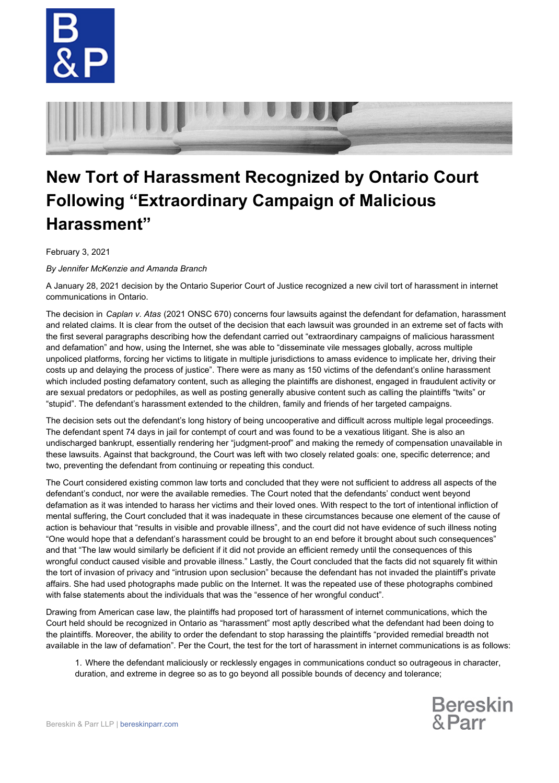



## **New Tort of Harassment Recognized by Ontario Court Following "Extraordinary Campaign of Malicious Harassment"**

February 3, 2021

*By Jennifer McKenzie and Amanda Branch*

A January 28, 2021 decision by the Ontario Superior Court of Justice recognized a new civil tort of harassment in internet communications in Ontario.

The decision in *Caplan v. Atas* (2021 ONSC 670) concerns four lawsuits against the defendant for defamation, harassment and related claims. It is clear from the outset of the decision that each lawsuit was grounded in an extreme set of facts with the first several paragraphs describing how the defendant carried out "extraordinary campaigns of malicious harassment and defamation" and how, using the Internet, she was able to "disseminate vile messages globally, across multiple unpoliced platforms, forcing her victims to litigate in multiple jurisdictions to amass evidence to implicate her, driving their costs up and delaying the process of justice". There were as many as 150 victims of the defendant's online harassment which included posting defamatory content, such as alleging the plaintiffs are dishonest, engaged in fraudulent activity or are sexual predators or pedophiles, as well as posting generally abusive content such as calling the plaintiffs "twits" or "stupid". The defendant's harassment extended to the children, family and friends of her targeted campaigns.

The decision sets out the defendant's long history of being uncooperative and difficult across multiple legal proceedings. The defendant spent 74 days in jail for contempt of court and was found to be a vexatious litigant. She is also an undischarged bankrupt, essentially rendering her "judgment-proof" and making the remedy of compensation unavailable in these lawsuits. Against that background, the Court was left with two closely related goals: one, specific deterrence; and two, preventing the defendant from continuing or repeating this conduct.

The Court considered existing common law torts and concluded that they were not sufficient to address all aspects of the defendant's conduct, nor were the available remedies. The Court noted that the defendants' conduct went beyond defamation as it was intended to harass her victims and their loved ones. With respect to the tort of intentional infliction of mental suffering, the Court concluded that it was inadequate in these circumstances because one element of the cause of action is behaviour that "results in visible and provable illness", and the court did not have evidence of such illness noting "One would hope that a defendant's harassment could be brought to an end before it brought about such consequences" and that "The law would similarly be deficient if it did not provide an efficient remedy until the consequences of this wrongful conduct caused visible and provable illness." Lastly, the Court concluded that the facts did not squarely fit within the tort of invasion of privacy and "intrusion upon seclusion" because the defendant has not invaded the plaintiff's private affairs. She had used photographs made public on the Internet. It was the repeated use of these photographs combined with false statements about the individuals that was the "essence of her wrongful conduct".

Drawing from American case law, the plaintiffs had proposed tort of harassment of internet communications, which the Court held should be recognized in Ontario as "harassment" most aptly described what the defendant had been doing to the plaintiffs. Moreover, the ability to order the defendant to stop harassing the plaintiffs "provided remedial breadth not available in the law of defamation". Per the Court, the test for the tort of harassment in internet communications is as follows:

1. Where the defendant maliciously or recklessly engages in communications conduct so outrageous in character, duration, and extreme in degree so as to go beyond all possible bounds of decency and tolerance;